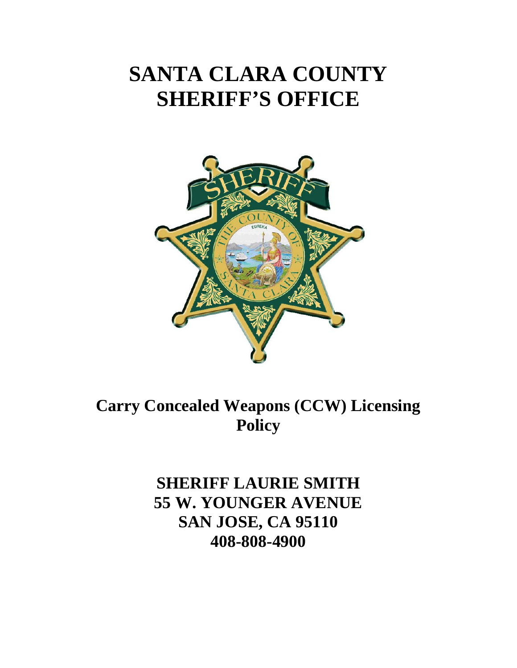## **SANTA CLARA COUNTY SHERIFF'S OFFICE**



**Carry Concealed Weapons (CCW) Licensing Policy** 

> **SHERIFF LAURIE SMITH 55 W. YOUNGER AVENUE SAN JOSE, CA 95110 408-808-4900**